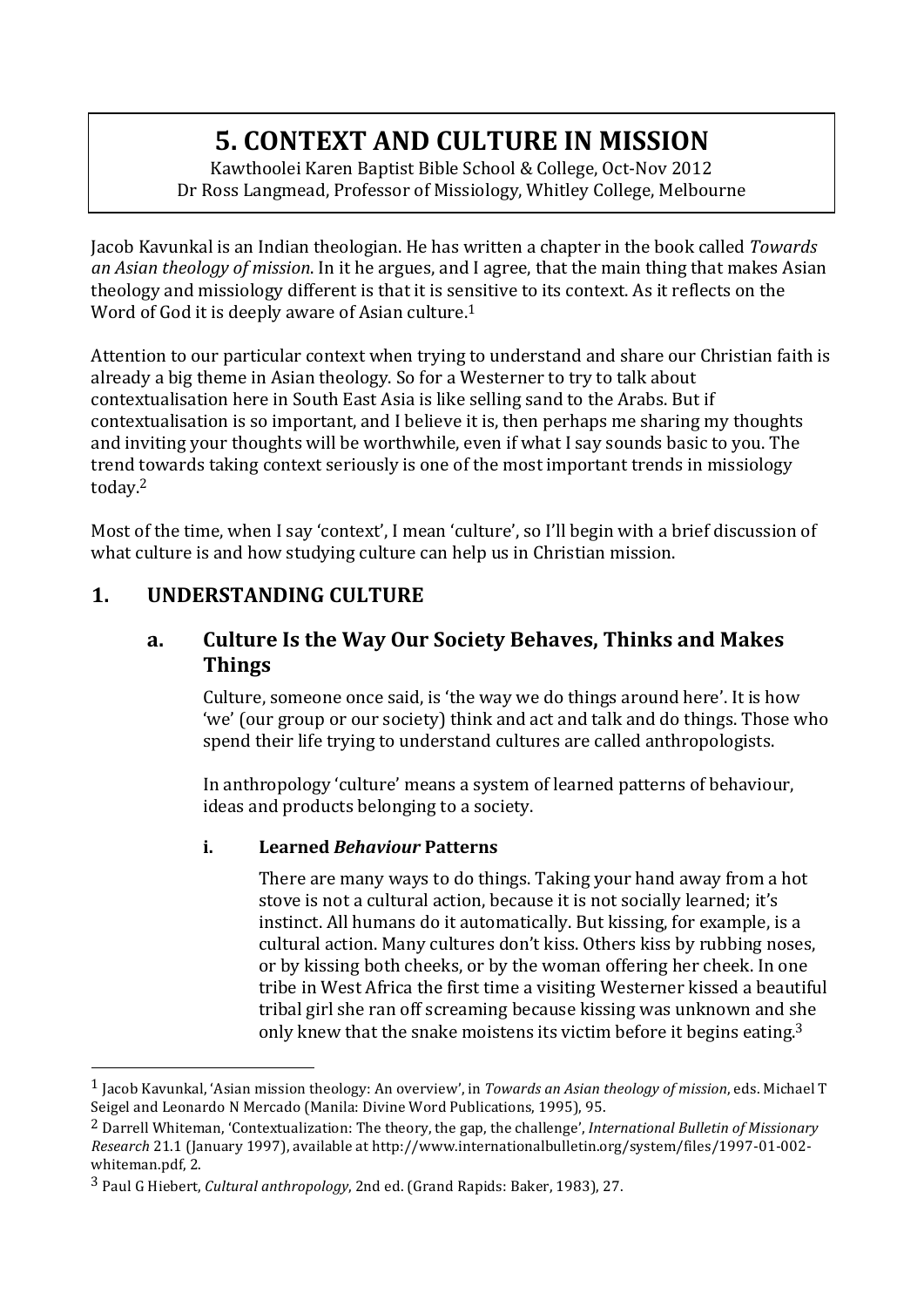# **5. CONTEXT AND CULTURE IN MISSION**

Kawthoolei Karen Baptist Bible School & College, Oct-Nov 2012 Dr Ross Langmead, Professor of Missiology, Whitley College, Melbourne

Jacob Kavunkal is an Indian theologian. He has written a chapter in the book called *Towards an Asian theology of mission*. In it he argues, and I agree, that the main thing that makes Asian theology and missiology different is that it is sensitive to its context. As it reflects on the Word of God it is deeply aware of Asian culture.<sup>1</sup>

Attention to our particular context when trying to understand and share our Christian faith is already a big theme in Asian theology. So for a Westerner to try to talk about contextualisation here in South East Asia is like selling sand to the Arabs. But if contextualisation is so important, and I believe it is, then perhaps me sharing my thoughts and inviting your thoughts will be worthwhile, even if what I say sounds basic to you. The trend towards taking context seriously is one of the most important trends in missiology today.2

Most of the time, when I say 'context', I mean 'culture', so I'll begin with a brief discussion of what culture is and how studying culture can help us in Christian mission.

# 1. **UNDERSTANDING CULTURE**

 

#### a. Culture Is the Way Our Society Behaves, Thinks and Makes **Things**

Culture, someone once said, is 'the way we do things around here'. It is how 'we' (our group or our society) think and act and talk and do things. Those who spend their life trying to understand cultures are called anthropologists.

In anthropology 'culture' means a system of learned patterns of behaviour, ideas and products belonging to a society.

#### **i. Learned** *Behaviour* **Patterns**

There are many ways to do things. Taking your hand away from a hot stove is not a cultural action, because it is not socially learned; it's instinct. All humans do it automatically. But kissing, for example, is a cultural action. Many cultures don't kiss. Others kiss by rubbing noses, or by kissing both cheeks, or by the woman offering her cheek. In one tribe in West Africa the first time a visiting Westerner kissed a beautiful tribal girl she ran off screaming because kissing was unknown and she only knew that the snake moistens its victim before it begins eating.<sup>3</sup>

 $<sup>1</sup>$  Jacob Kavunkal, 'Asian mission theology: An overview', in *Towards an Asian theology of mission*, eds. Michael T</sup> Seigel and Leonardo N Mercado (Manila: Divine Word Publications, 1995), 95.

<sup>&</sup>lt;sup>2</sup> Darrell Whiteman, 'Contextualization: The theory, the gap, the challenge', *International Bulletin of Missionary Research* 21.1 (January 1997), available at http://www.internationalbulletin.org/system/files/1997-01-002whiteman.pdf, 2.

<sup>&</sup>lt;sup>3</sup> Paul G Hiebert, *Cultural anthropology*, 2nd ed. (Grand Rapids: Baker, 1983), 27.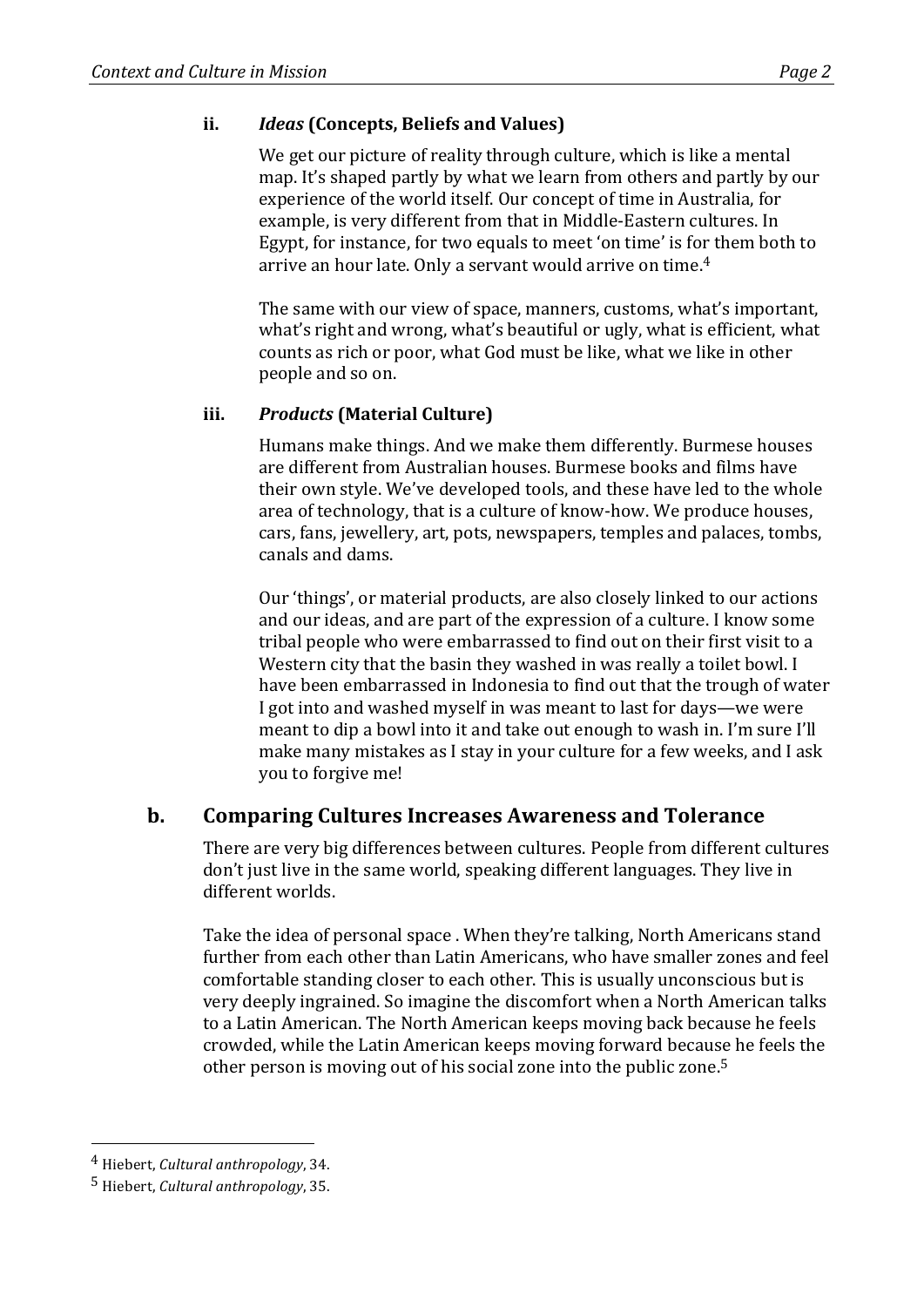#### **ii.** *Ideas* **(Concepts, Beliefs and Values)**

We get our picture of reality through culture, which is like a mental map. It's shaped partly by what we learn from others and partly by our experience of the world itself. Our concept of time in Australia, for example, is very different from that in Middle-Eastern cultures. In Egypt, for instance, for two equals to meet 'on time' is for them both to arrive an hour late. Only a servant would arrive on time.<sup>4</sup>

The same with our view of space, manners, customs, what's important, what's right and wrong, what's beautiful or ugly, what is efficient, what counts as rich or poor, what God must be like, what we like in other people and so on.

#### **iii.** *Products* **(Material Culture)**

Humans make things. And we make them differently. Burmese houses are different from Australian houses. Burmese books and films have their own style. We've developed tools, and these have led to the whole area of technology, that is a culture of know-how. We produce houses, cars, fans, jewellery, art, pots, newspapers, temples and palaces, tombs, canals and dams.

Our 'things', or material products, are also closely linked to our actions and our ideas, and are part of the expression of a culture. I know some tribal people who were embarrassed to find out on their first visit to a Western city that the basin they washed in was really a toilet bowl. I have been embarrassed in Indonesia to find out that the trough of water I got into and washed myself in was meant to last for days—we were meant to dip a bowl into it and take out enough to wash in. I'm sure I'll make many mistakes as I stay in your culture for a few weeks, and I ask you to forgive me!

#### **b.** Comparing Cultures Increases Awareness and Tolerance

There are very big differences between cultures. People from different cultures don't just live in the same world, speaking different languages. They live in different worlds.

Take the idea of personal space . When they're talking, North Americans stand further from each other than Latin Americans, who have smaller zones and feel comfortable standing closer to each other. This is usually unconscious but is very deeply ingrained. So imagine the discomfort when a North American talks to a Latin American. The North American keeps moving back because he feels crowded, while the Latin American keeps moving forward because he feels the other person is moving out of his social zone into the public zone.<sup>5</sup>

 <sup>4</sup> Hiebert, *Cultural anthropology*, 34.

<sup>5</sup> Hiebert, *Cultural anthropology*, 35.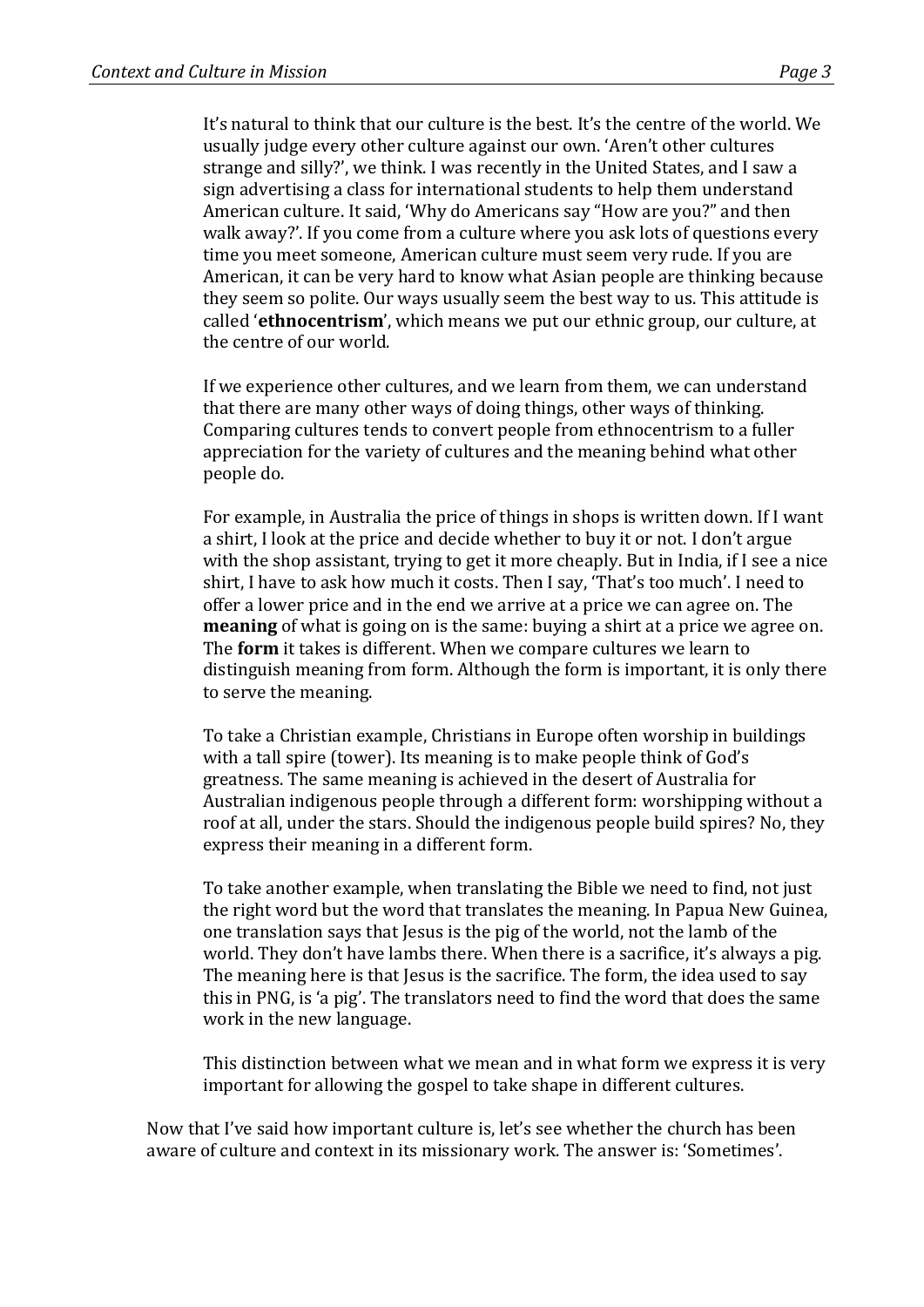It's natural to think that our culture is the best. It's the centre of the world. We usually judge every other culture against our own. 'Aren't other cultures strange and silly?', we think. I was recently in the United States, and I saw a sign advertising a class for international students to help them understand American culture. It said, 'Why do Americans say "How are you?" and then walk away?'. If you come from a culture where you ask lots of questions every time you meet someone, American culture must seem very rude. If you are American, it can be very hard to know what Asian people are thinking because they seem so polite. Our ways usually seem the best way to us. This attitude is called **'ethnocentrism'**, which means we put our ethnic group, our culture, at the centre of our world

If we experience other cultures, and we learn from them, we can understand that there are many other ways of doing things, other ways of thinking. Comparing cultures tends to convert people from ethnocentrism to a fuller appreciation for the variety of cultures and the meaning behind what other people do.

For example, in Australia the price of things in shops is written down. If I want a shirt. I look at the price and decide whether to buy it or not. I don't argue with the shop assistant, trying to get it more cheaply. But in India, if I see a nice shirt, I have to ask how much it costs. Then I say, 'That's too much'. I need to offer a lower price and in the end we arrive at a price we can agree on. The **meaning** of what is going on is the same: buying a shirt at a price we agree on. The **form** it takes is different. When we compare cultures we learn to distinguish meaning from form. Although the form is important, it is only there to serve the meaning.

To take a Christian example, Christians in Europe often worship in buildings with a tall spire (tower). Its meaning is to make people think of God's greatness. The same meaning is achieved in the desert of Australia for Australian indigenous people through a different form: worshipping without a roof at all, under the stars. Should the indigenous people build spires? No, they express their meaning in a different form.

To take another example, when translating the Bible we need to find, not just the right word but the word that translates the meaning. In Papua New Guinea, one translation says that Jesus is the pig of the world, not the lamb of the world. They don't have lambs there. When there is a sacrifice, it's always a pig. The meaning here is that Jesus is the sacrifice. The form, the idea used to say this in PNG, is 'a pig'. The translators need to find the word that does the same work in the new language.

This distinction between what we mean and in what form we express it is very important for allowing the gospel to take shape in different cultures.

Now that I've said how important culture is, let's see whether the church has been aware of culture and context in its missionary work. The answer is: 'Sometimes'.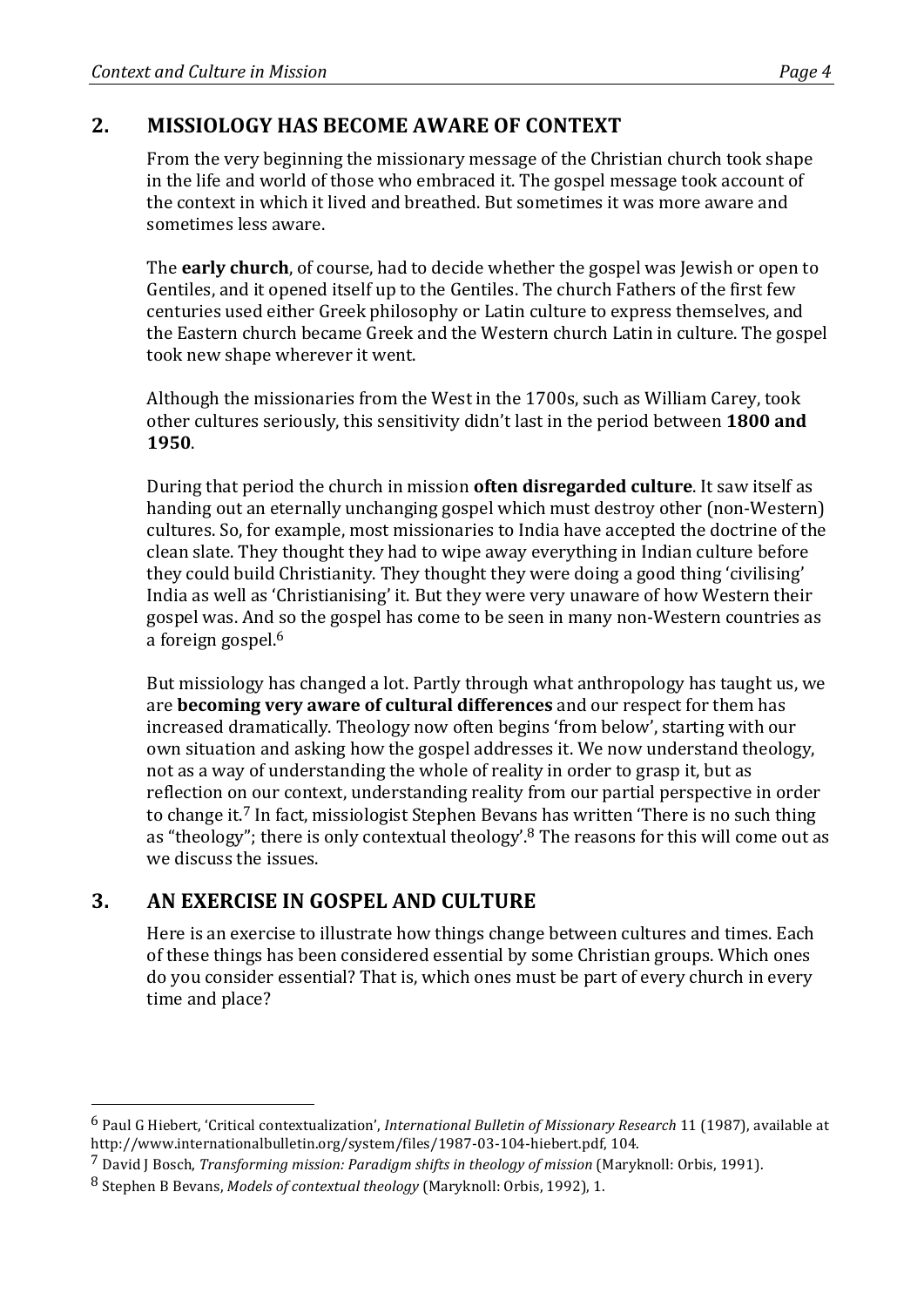#### **2. MISSIOLOGY HAS BECOME AWARE OF CONTEXT**

From the very beginning the missionary message of the Christian church took shape in the life and world of those who embraced it. The gospel message took account of the context in which it lived and breathed. But sometimes it was more aware and sometimes less aware.

The **early church**, of course, had to decide whether the gospel was Jewish or open to Gentiles, and it opened itself up to the Gentiles. The church Fathers of the first few centuries used either Greek philosophy or Latin culture to express themselves, and the Eastern church became Greek and the Western church Latin in culture. The gospel took new shape wherever it went.

Although the missionaries from the West in the 1700s, such as William Carey, took other cultures seriously, this sensitivity didn't last in the period between **1800 and 1950**.

During that period the church in mission **often disregarded culture**. It saw itself as handing out an eternally unchanging gospel which must destroy other (non-Western) cultures. So, for example, most missionaries to India have accepted the doctrine of the clean slate. They thought they had to wipe away everything in Indian culture before they could build Christianity. They thought they were doing a good thing 'civilising' India as well as 'Christianising' it. But they were very unaware of how Western their gospel was. And so the gospel has come to be seen in many non-Western countries as a foreign gospel. $6$ 

But missiology has changed a lot. Partly through what anthropology has taught us, we are **becoming very aware of cultural differences** and our respect for them has increased dramatically. Theology now often begins 'from below', starting with our own situation and asking how the gospel addresses it. We now understand theology, not as a way of understanding the whole of reality in order to grasp it, but as reflection on our context, understanding reality from our partial perspective in order to change it.<sup>7</sup> In fact, missiologist Stephen Bevans has written 'There is no such thing as "theology"; there is only contextual theology'. $8$  The reasons for this will come out as we discuss the issues.

# **3. AN EXERCISE IN GOSPEL AND CULTURE**

 

Here is an exercise to illustrate how things change between cultures and times. Each of these things has been considered essential by some Christian groups. Which ones do you consider essential? That is, which ones must be part of every church in every time and place?

<sup>&</sup>lt;sup>6</sup> Paul G Hiebert, 'Critical contextualization', *International Bulletin of Missionary Research* 11 (1987), available at http://www.internationalbulletin.org/system/files/1987-03-104-hiebert.pdf, 104.

<sup>&</sup>lt;sup>7</sup> David J Bosch, *Transforming mission: Paradigm shifts in theology of mission* (Maryknoll: Orbis, 1991).

<sup>8</sup> Stephen B Bevans, *Models of contextual theology* (Maryknoll: Orbis, 1992), 1.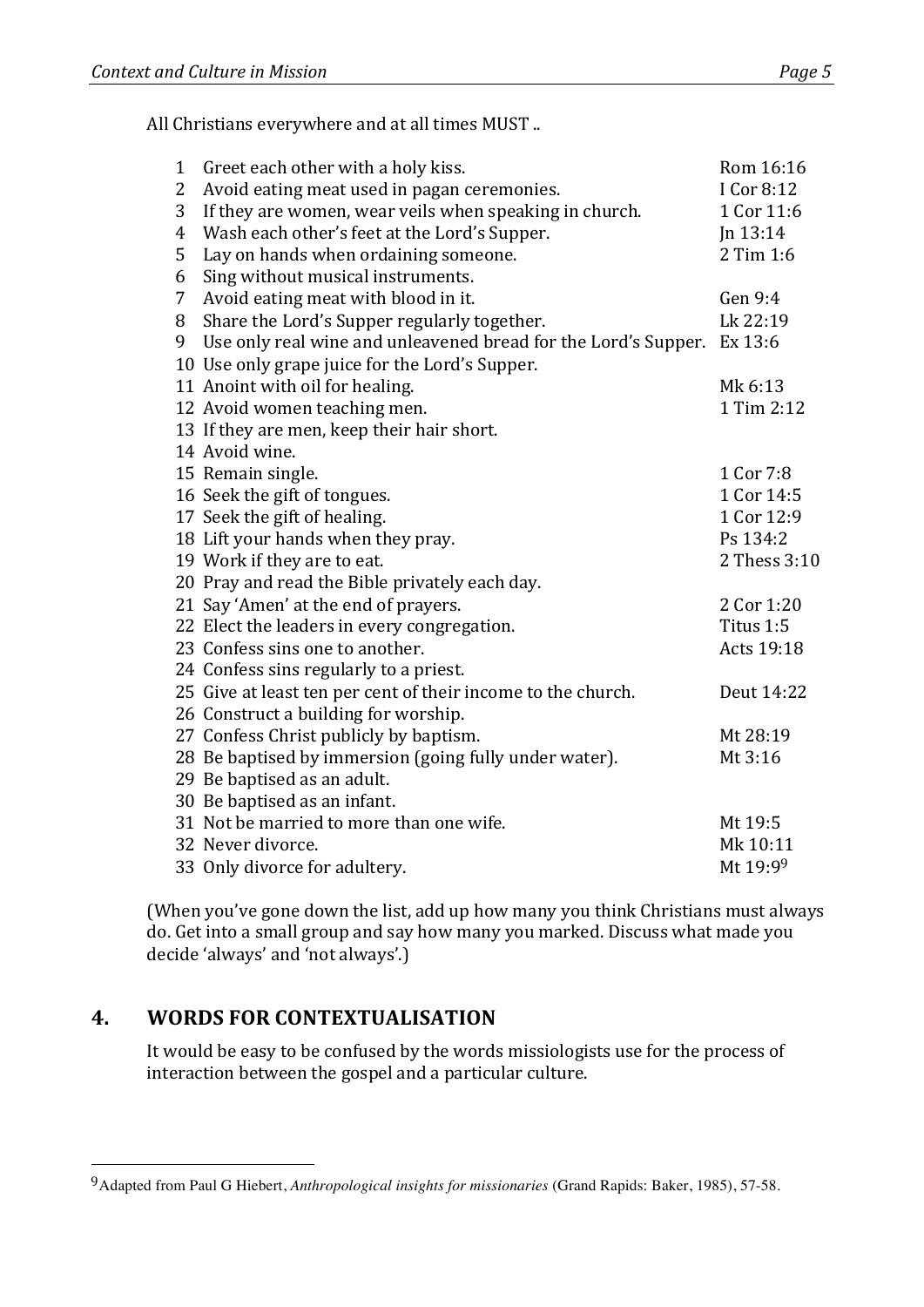All Christians everywhere and at all times MUST ..

| $\mathbf{1}$ | Greet each other with a holy kiss.                             | Rom 16:16    |
|--------------|----------------------------------------------------------------|--------------|
| 2            | Avoid eating meat used in pagan ceremonies.                    | I Cor 8:12   |
| 3            | If they are women, wear veils when speaking in church.         | 1 Cor 11:6   |
| 4            | Wash each other's feet at the Lord's Supper.                   | Jn 13:14     |
| 5            | Lay on hands when ordaining someone.                           | 2 Tim 1:6    |
| 6            | Sing without musical instruments.                              |              |
| 7            | Avoid eating meat with blood in it.                            | Gen 9:4      |
| 8            | Share the Lord's Supper regularly together.                    | Lk 22:19     |
| 9            | Use only real wine and unleavened bread for the Lord's Supper. | Ex 13:6      |
|              | 10 Use only grape juice for the Lord's Supper.                 |              |
|              | 11 Anoint with oil for healing.                                | Mk 6:13      |
|              | 12 Avoid women teaching men.                                   | 1 Tim 2:12   |
|              | 13 If they are men, keep their hair short.                     |              |
|              | 14 Avoid wine.                                                 |              |
|              | 15 Remain single.                                              | 1 Cor 7:8    |
|              | 16 Seek the gift of tongues.                                   | 1 Cor 14:5   |
|              | 17 Seek the gift of healing.                                   | 1 Cor 12:9   |
|              | 18 Lift your hands when they pray.                             | Ps 134:2     |
|              | 19 Work if they are to eat.                                    | 2 Thess 3:10 |
|              | 20 Pray and read the Bible privately each day.                 |              |
|              | 21 Say 'Amen' at the end of prayers.                           | 2 Cor 1:20   |
|              | 22 Elect the leaders in every congregation.                    | Titus 1:5    |
|              | 23 Confess sins one to another.                                | Acts 19:18   |
|              | 24 Confess sins regularly to a priest.                         |              |
|              | 25 Give at least ten per cent of their income to the church.   | Deut 14:22   |
|              | 26 Construct a building for worship.                           |              |
|              | 27 Confess Christ publicly by baptism.                         | Mt 28:19     |
|              | 28 Be baptised by immersion (going fully under water).         | Mt 3:16      |
|              | 29 Be baptised as an adult.                                    |              |
|              | 30 Be baptised as an infant.                                   |              |
|              | 31 Not be married to more than one wife.                       | Mt 19:5      |
|              | 32 Never divorce.                                              | Mk 10:11     |
|              | 33 Only divorce for adultery.                                  | Mt 19:99     |

(When you've gone down the list, add up how many you think Christians must always do. Get into a small group and say how many you marked. Discuss what made you decide 'always' and 'not always'.)

# **4. WORDS FOR CONTEXTUALISATION**

 

It would be easy to be confused by the words missiologists use for the process of interaction between the gospel and a particular culture.

Adapted from Paul G Hiebert, *Anthropological insights for missionaries* (Grand Rapids: Baker, 1985), 57-58.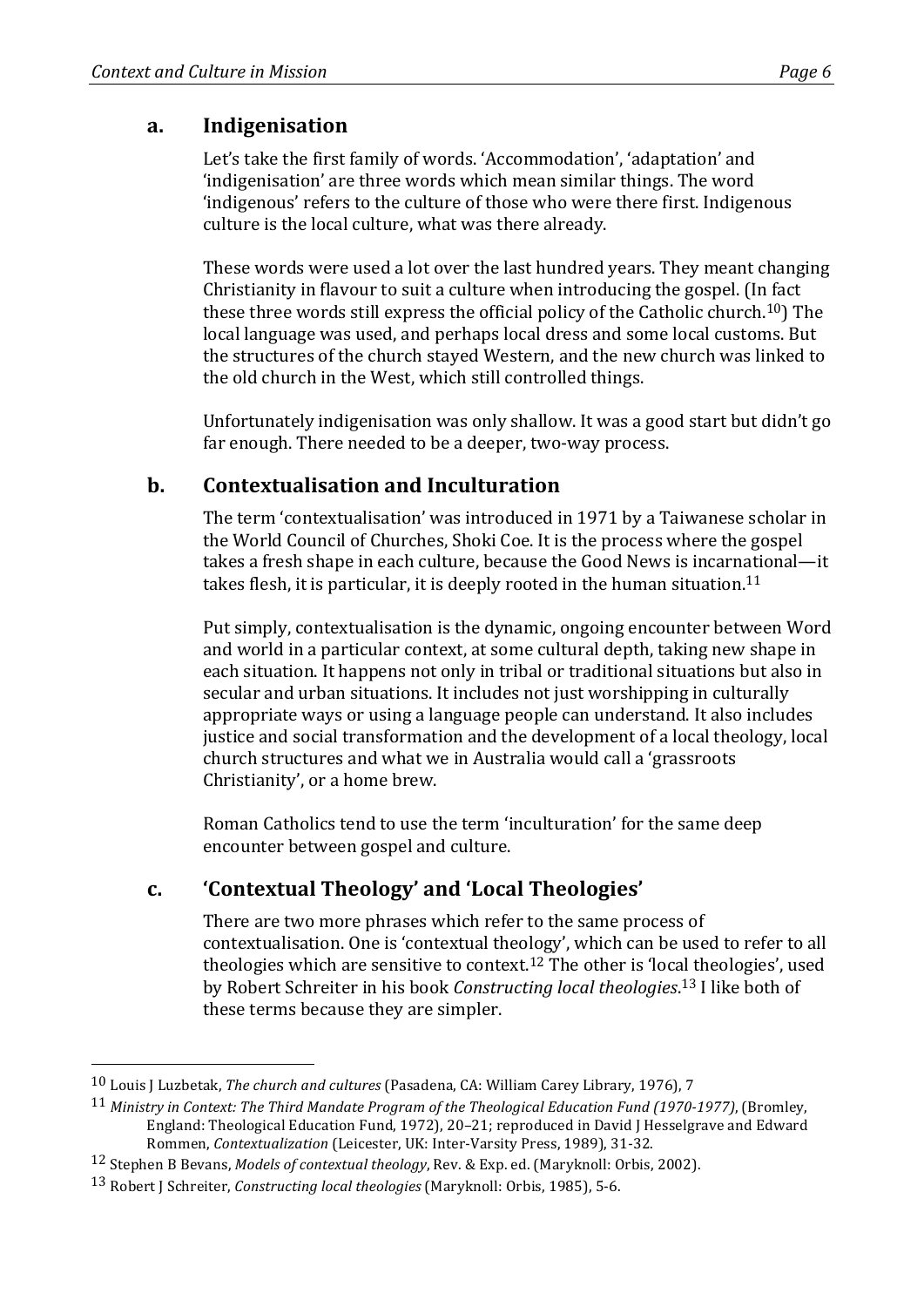Let's take the first family of words. 'Accommodation', 'adaptation' and 'indigenisation' are three words which mean similar things. The word 'indigenous' refers to the culture of those who were there first. Indigenous culture is the local culture, what was there already.

These words were used a lot over the last hundred years. They meant changing Christianity in flavour to suit a culture when introducing the gospel. (In fact these three words still express the official policy of the Catholic church.<sup>10</sup>) The local language was used, and perhaps local dress and some local customs. But the structures of the church stayed Western, and the new church was linked to the old church in the West, which still controlled things.

Unfortunately indigenisation was only shallow. It was a good start but didn't go far enough. There needed to be a deeper, two-way process.

# **b. Contextualisation and Inculturation**

The term 'contextualisation' was introduced in 1971 by a Taiwanese scholar in the World Council of Churches, Shoki Coe. It is the process where the gospel takes a fresh shape in each culture, because the Good News is incarnational—it takes flesh, it is particular, it is deeply rooted in the human situation.<sup>11</sup>

Put simply, contextualisation is the dynamic, ongoing encounter between Word and world in a particular context, at some cultural depth, taking new shape in each situation. It happens not only in tribal or traditional situations but also in secular and urban situations. It includes not just worshipping in culturally appropriate ways or using a language people can understand. It also includes justice and social transformation and the development of a local theology, local church structures and what we in Australia would call a 'grassroots Christianity', or a home brew.

Roman Catholics tend to use the term 'inculturation' for the same deep encounter between gospel and culture.

# **c. 'Contextual Theology' and 'Local Theologies'**

There are two more phrases which refer to the same process of contextualisation. One is 'contextual theology', which can be used to refer to all theologies which are sensitive to context.<sup>12</sup> The other is 'local theologies', used by Robert Schreiter in his book *Constructing local theologies*.<sup>13</sup> I like both of these terms because they are simpler.

 

<sup>&</sup>lt;sup>10</sup> Louis I Luzbetak, *The church and cultures* (Pasadena, CA: William Carey Library, 1976), 7

<sup>&</sup>lt;sup>11</sup> Ministry in Context: The Third Mandate Program of the Theological Education Fund (1970-1977), (Bromley, England: Theological Education Fund, 1972), 20-21; reproduced in David J Hesselgrave and Edward Rommen, *Contextualization* (Leicester, UK: Inter-Varsity Press, 1989), 31-32.

<sup>&</sup>lt;sup>12</sup> Stephen B Bevans, *Models of contextual theology*, Rev. & Exp. ed. (Maryknoll: Orbis, 2002).

<sup>13</sup> Robert J Schreiter, *Constructing local theologies* (Maryknoll: Orbis, 1985), 5-6.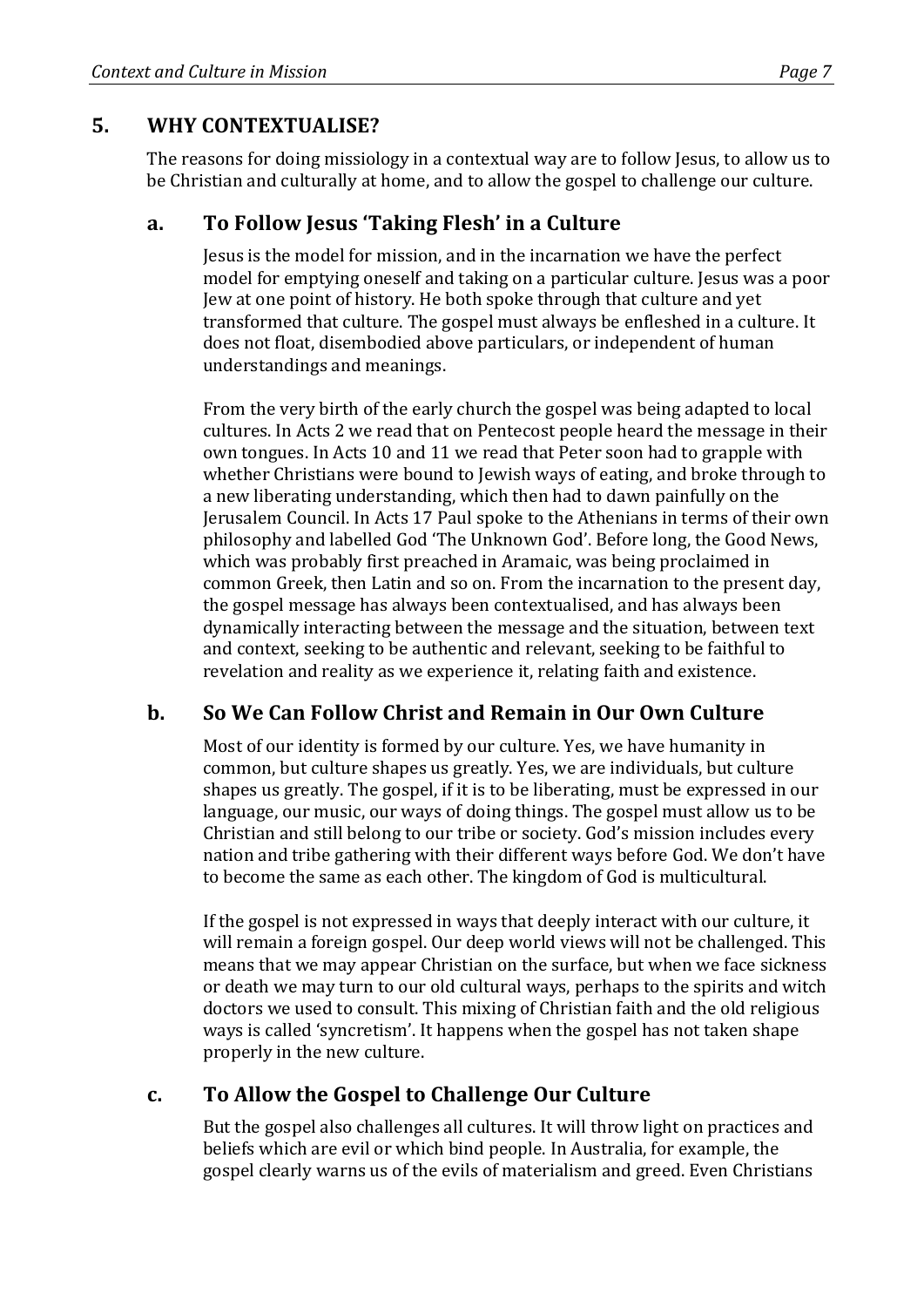#### **5. WHY CONTEXTUALISE?**

The reasons for doing missiology in a contextual way are to follow Jesus, to allow us to be Christian and culturally at home, and to allow the gospel to challenge our culture.

#### **a. To Follow Jesus 'Taking Flesh' in a Culture**

Jesus is the model for mission, and in the incarnation we have the perfect model for emptying oneself and taking on a particular culture. Jesus was a poor Jew at one point of history. He both spoke through that culture and yet transformed that culture. The gospel must always be enfleshed in a culture. It does not float, disembodied above particulars, or independent of human understandings and meanings.

From the very birth of the early church the gospel was being adapted to local cultures. In Acts 2 we read that on Pentecost people heard the message in their own tongues. In Acts 10 and 11 we read that Peter soon had to grapple with whether Christians were bound to Jewish ways of eating, and broke through to a new liberating understanding, which then had to dawn painfully on the Jerusalem Council. In Acts 17 Paul spoke to the Athenians in terms of their own philosophy and labelled God 'The Unknown God'. Before long, the Good News, which was probably first preached in Aramaic, was being proclaimed in common Greek, then Latin and so on. From the incarnation to the present day, the gospel message has always been contextualised, and has always been dynamically interacting between the message and the situation, between text and context, seeking to be authentic and relevant, seeking to be faithful to revelation and reality as we experience it, relating faith and existence.

#### **b. So We Can Follow Christ and Remain in Our Own Culture**

Most of our identity is formed by our culture. Yes, we have humanity in common, but culture shapes us greatly. Yes, we are individuals, but culture shapes us greatly. The gospel, if it is to be liberating, must be expressed in our language, our music, our ways of doing things. The gospel must allow us to be Christian and still belong to our tribe or society. God's mission includes every nation and tribe gathering with their different ways before God. We don't have to become the same as each other. The kingdom of God is multicultural.

If the gospel is not expressed in ways that deeply interact with our culture, it will remain a foreign gospel. Our deep world views will not be challenged. This means that we may appear Christian on the surface, but when we face sickness or death we may turn to our old cultural ways, perhaps to the spirits and witch doctors we used to consult. This mixing of Christian faith and the old religious ways is called 'syncretism'. It happens when the gospel has not taken shape properly in the new culture.

#### **c. To Allow the Gospel to Challenge Our Culture**

But the gospel also challenges all cultures. It will throw light on practices and beliefs which are evil or which bind people. In Australia, for example, the gospel clearly warns us of the evils of materialism and greed. Even Christians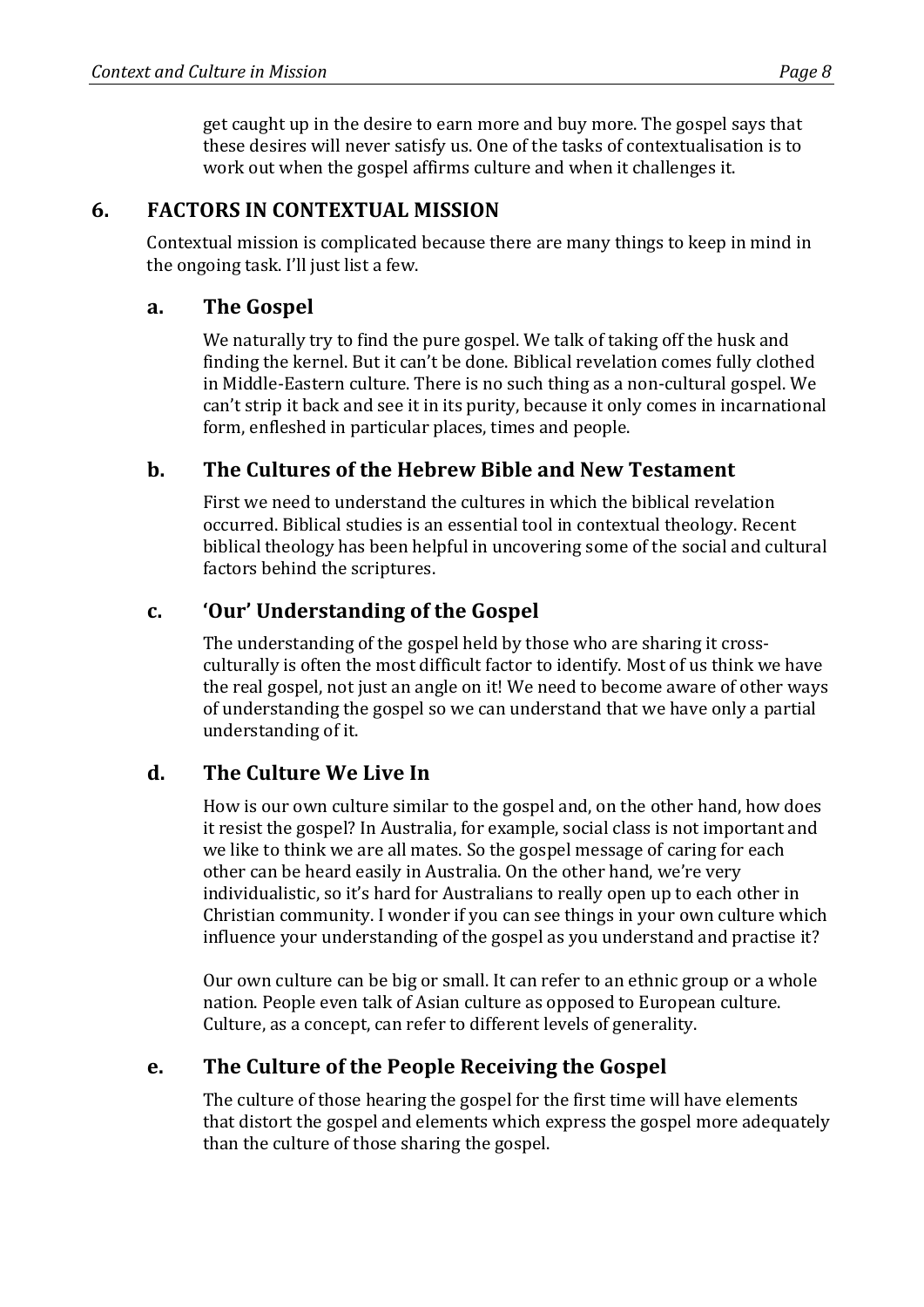get caught up in the desire to earn more and buy more. The gospel says that these desires will never satisfy us. One of the tasks of contextualisation is to work out when the gospel affirms culture and when it challenges it.

# **6. • FACTORS IN CONTEXTUAL MISSION**

Contextual mission is complicated because there are many things to keep in mind in the ongoing task. I'll just list a few.

#### **a. The Gospel**

We naturally try to find the pure gospel. We talk of taking off the husk and finding the kernel. But it can't be done. Biblical revelation comes fully clothed in Middle-Eastern culture. There is no such thing as a non-cultural gospel. We can't strip it back and see it in its purity, because it only comes in incarnational form, enfleshed in particular places, times and people.

# **b.** The Cultures of the Hebrew Bible and New Testament

First we need to understand the cultures in which the biblical revelation occurred. Biblical studies is an essential tool in contextual theology. Recent biblical theology has been helpful in uncovering some of the social and cultural factors behind the scriptures.

#### **c. 'Our' Understanding of the Gospel**

The understanding of the gospel held by those who are sharing it crossculturally is often the most difficult factor to identify. Most of us think we have the real gospel, not just an angle on it! We need to become aware of other ways of understanding the gospel so we can understand that we have only a partial understanding of it.

#### **d. The Culture We Live In**

How is our own culture similar to the gospel and, on the other hand, how does it resist the gospel? In Australia, for example, social class is not important and we like to think we are all mates. So the gospel message of caring for each other can be heard easily in Australia. On the other hand, we're very individualistic, so it's hard for Australians to really open up to each other in Christian community. I wonder if you can see things in your own culture which influence your understanding of the gospel as you understand and practise it?

Our own culture can be big or small. It can refer to an ethnic group or a whole nation. People even talk of Asian culture as opposed to European culture. Culture, as a concept, can refer to different levels of generality.

#### **e.** The Culture of the People Receiving the Gospel

The culture of those hearing the gospel for the first time will have elements that distort the gospel and elements which express the gospel more adequately than the culture of those sharing the gospel.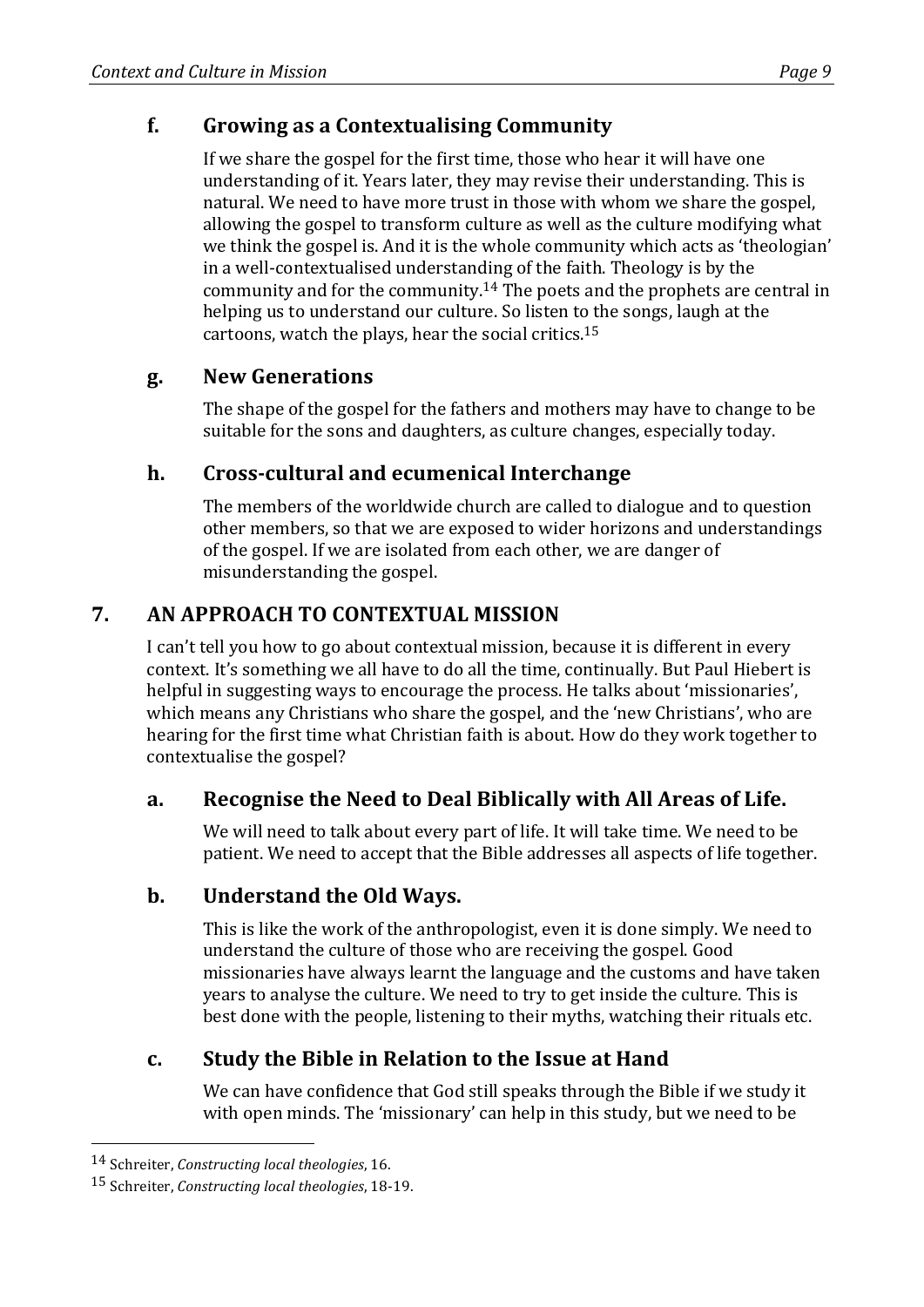# **f. Growing as a Contextualising Community**

If we share the gospel for the first time, those who hear it will have one understanding of it. Years later, they may revise their understanding. This is natural. We need to have more trust in those with whom we share the gospel, allowing the gospel to transform culture as well as the culture modifying what we think the gospel is. And it is the whole community which acts as 'theologian' in a well-contextualised understanding of the faith. Theology is by the community and for the community.<sup>14</sup> The poets and the prophets are central in helping us to understand our culture. So listen to the songs, laugh at the cartoons, watch the plays, hear the social critics.<sup>15</sup>

# **g. New Generations**

The shape of the gospel for the fathers and mothers may have to change to be suitable for the sons and daughters, as culture changes, especially today.

# **h.** Cross-cultural and ecumenical Interchange

The members of the worldwide church are called to dialogue and to question other members, so that we are exposed to wider horizons and understandings of the gospel. If we are isolated from each other, we are danger of misunderstanding the gospel.

# **7. AN APPROACH TO CONTEXTUAL MISSION**

I can't tell you how to go about contextual mission, because it is different in every context. It's something we all have to do all the time, continually. But Paul Hiebert is helpful in suggesting ways to encourage the process. He talks about 'missionaries', which means any Christians who share the gospel, and the 'new Christians', who are hearing for the first time what Christian faith is about. How do they work together to contextualise the gospel?

# a. Recognise the Need to Deal Biblically with All Areas of Life.

We will need to talk about every part of life. It will take time. We need to be patient. We need to accept that the Bible addresses all aspects of life together.

# **b.** Understand the Old Ways.

This is like the work of the anthropologist, even it is done simply. We need to understand the culture of those who are receiving the gospel. Good missionaries have always learnt the language and the customs and have taken years to analyse the culture. We need to try to get inside the culture. This is best done with the people, listening to their myths, watching their rituals etc.

# **c.** Study the Bible in Relation to the Issue at Hand

We can have confidence that God still speaks through the Bible if we study it with open minds. The 'missionary' can help in this study, but we need to be

 

<sup>14</sup> Schreiter, *Constructing local theologies*, 16.

<sup>15</sup> Schreiter, *Constructing local theologies*, 18-19.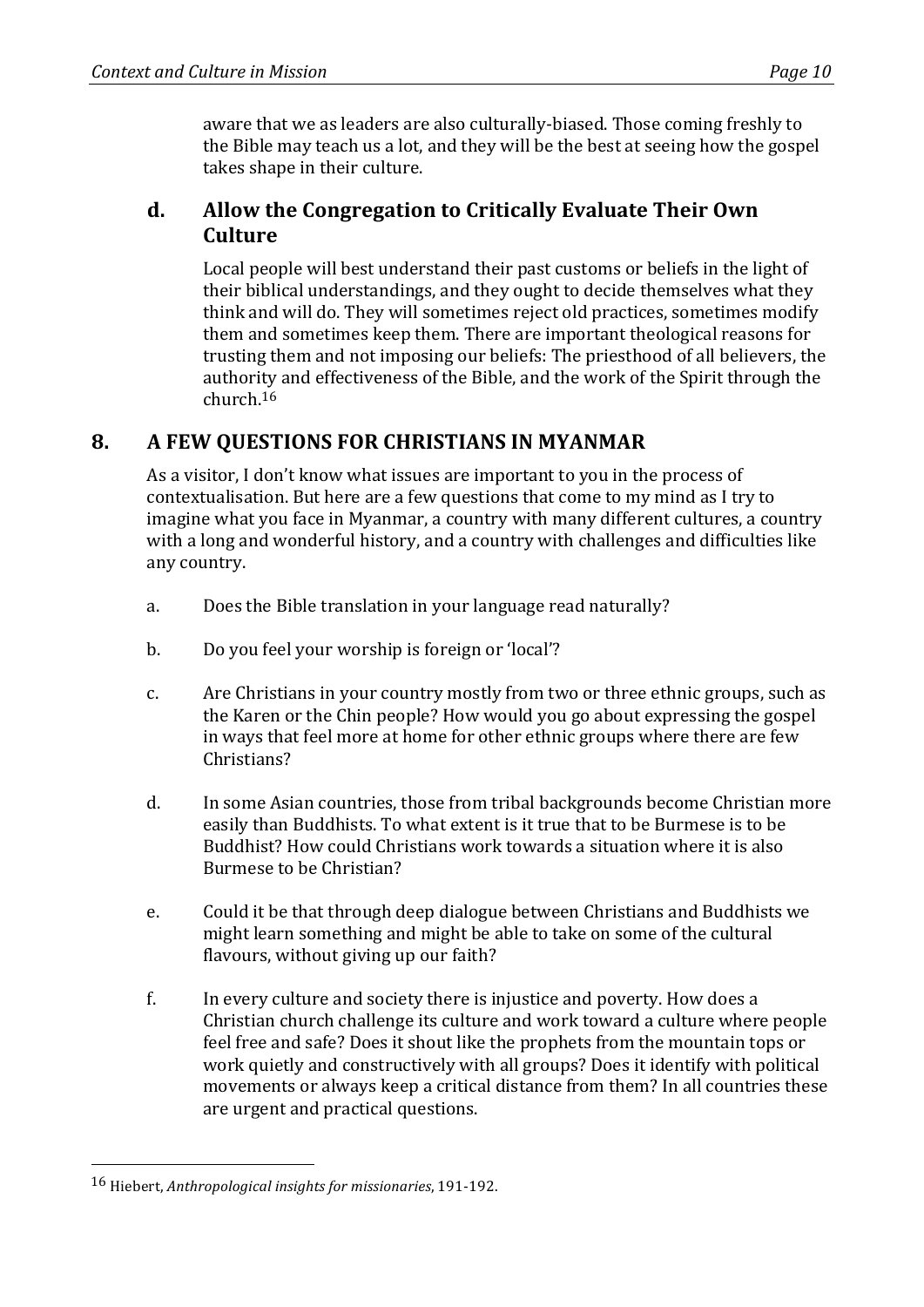aware that we as leaders are also culturally-biased. Those coming freshly to the Bible may teach us a lot, and they will be the best at seeing how the gospel takes shape in their culture.

#### **d.** Allow the Congregation to Critically Evaluate Their Own **Culture**

Local people will best understand their past customs or beliefs in the light of their biblical understandings, and they ought to decide themselves what they think and will do. They will sometimes reject old practices, sometimes modify them and sometimes keep them. There are important theological reasons for trusting them and not imposing our beliefs: The priesthood of all believers, the authority and effectiveness of the Bible, and the work of the Spirit through the church.16

# 8. **A FEW OUESTIONS FOR CHRISTIANS IN MYANMAR**

As a visitor, I don't know what issues are important to you in the process of contextualisation. But here are a few questions that come to my mind as I try to imagine what you face in Myanmar, a country with many different cultures, a country with a long and wonderful history, and a country with challenges and difficulties like any country.

- a. Does the Bible translation in your language read naturally?
- b. Do you feel your worship is foreign or 'local'?
- c. Are Christians in your country mostly from two or three ethnic groups, such as the Karen or the Chin people? How would you go about expressing the gospel in ways that feel more at home for other ethnic groups where there are few Christians?
- d. In some Asian countries, those from tribal backgrounds become Christian more easily than Buddhists. To what extent is it true that to be Burmese is to be Buddhist? How could Christians work towards a situation where it is also Burmese to be Christian?
- e. Could it be that through deep dialogue between Christians and Buddhists we might learn something and might be able to take on some of the cultural flavours, without giving up our faith?
- f. In every culture and society there is injustice and poverty. How does a Christian church challenge its culture and work toward a culture where people feel free and safe? Does it shout like the prophets from the mountain tops or work quietly and constructively with all groups? Does it identify with political movements or always keep a critical distance from them? In all countries these are urgent and practical questions.

 

<sup>16</sup> Hiebert, *Anthropological insights for missionaries*, 191-192.